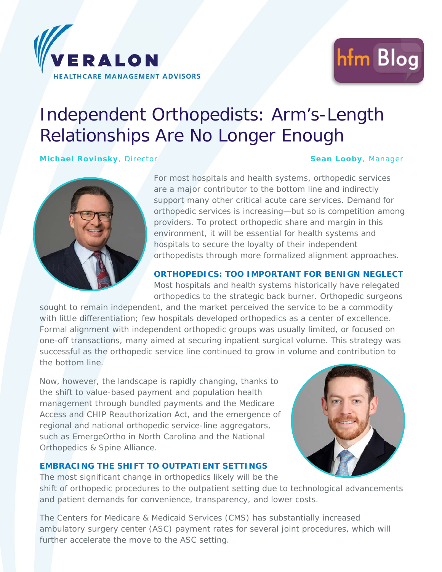



# Independent Orthopedists: Arm's-Length Relationships Are No Longer Enough

**Michael Rovinsky**, Director **Sean Looby**, Manager



For most hospitals and health systems, orthopedic services are a major contributor to the bottom line and indirectly support many other critical acute care services. Demand for orthopedic services is increasing—but so is competition among providers. To protect orthopedic share and margin in this environment, it will be essential for health systems and hospitals to secure the loyalty of their independent orthopedists through more formalized alignment approaches.

#### **ORTHOPEDICS: TOO IMPORTANT FOR BENIGN NEGLECT**

Most hospitals and health systems historically have relegated orthopedics to the strategic back burner. Orthopedic surgeons

sought to remain independent, and the market perceived the service to be a commodity with little differentiation; few hospitals developed orthopedics as a center of excellence. Formal alignment with independent orthopedic groups was usually limited, or focused on one-off transactions, many aimed at securing inpatient surgical volume. This strategy was successful as the orthopedic service line continued to grow in volume and contribution to the bottom line.

Now, however, the landscape is rapidly changing, thanks to the shift to value-based payment and population health management through bundled payments and the Medicare Access and CHIP Reauthorization Act, and the emergence of regional and national orthopedic service-line aggregators, such as EmergeOrtho in North Carolina and the National Orthopedics & Spine Alliance.

### **EMBRACING THE SHIFT TO OUTPATIENT SETTINGS**

The most significant change in orthopedics likely will be the shift of orthopedic procedures to the outpatient setting due to technological advancements and patient demands for convenience, transparency, and lower costs.

The Centers for Medicare & Medicaid Services (CMS) has substantially increased ambulatory surgery center (ASC) payment rates for several joint procedures, which will further accelerate the move to the ASC setting.